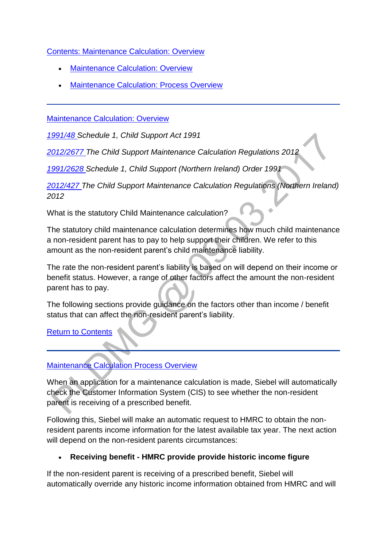[Contents: Maintenance Calculation: Overview](http://np-cmg-sharepoint.link2.gpn.gov.uk/sites/policy-law-and-decision-making-guidance/Pages/Calculations/Maintenance-calculations-overview.aspx)

- [Maintenance Calculation: Overview](http://np-cmg-sharepoint.link2.gpn.gov.uk/sites/policy-law-and-decision-making-guidance/Pages/Calculations/Maintenance-calculations-overview.aspx#MCOverview)
- **[Maintenance Calculation: Process Overview](http://np-cmg-sharepoint.link2.gpn.gov.uk/sites/policy-law-and-decision-making-guidance/Pages/Calculations/Maintenance-calculations-overview.aspx#MCProcessOverveiw)**

[Maintenance Calculation: Overview](http://np-cmg-sharepoint.link2.gpn.gov.uk/sites/policy-law-and-decision-making-guidance/Pages/Calculations/Maintenance-calculations-overview.aspx) 

*[1991/48 S](http://www.legislation.gov.uk/ukpga/1991/48)chedule 1, Child Support Act 1991* 

*[2012/2677 T](http://www.legislation.gov.uk/uksi/2012/2677)he Child Support Maintenance Calculation Regulations 2012*

*[1991/2628 S](http://www.legislation.gov.uk/nisi/1991/2628/contents)chedule 1, Child Support (Northern Ireland) Order 1991*

*[2012/427 T](http://www.legislation.gov.uk/nisr/2012/427/contents/made)he Child Support Maintenance Calculation Regulations (Northern Ireland) 2012*

What is the statutory Child Maintenance calculation?

The statutory child maintenance calculation determines how much child maintenance a non-resident parent has to pay to help support their children. We refer to this amount as the non-resident parent's child maintenance liability.

The rate the non-resident parent's liability is based on will depend on their income or benefit status. However, a range of other factors affect the amount the non-resident parent has to pay.

The following sections provide guidance on the factors other than income / benefit status that can affect the non-resident parent's liability.

[Return to Contents](http://np-cmg-sharepoint.link2.gpn.gov.uk/sites/policy-law-and-decision-making-guidance/Pages/Calculations/Maintenance-calculations-overview.aspx#OverviewContents)

# [Maintenance Calculation Process Overview](http://np-cmg-sharepoint.link2.gpn.gov.uk/sites/policy-law-and-decision-making-guidance/Pages/Calculations/Maintenance-calculations-overview.aspx)

When an application for a maintenance calculation is made, Siebel will automatically check the Customer Information System (CIS) to see whether the non-resident parent is receiving of a prescribed benefit.

Following this, Siebel will make an automatic request to HMRC to obtain the nonresident parents income information for the latest available tax year. The next action will depend on the non-resident parents circumstances:

# **Receiving benefit - HMRC provide provide historic income figure**

If the non-resident parent is receiving of a prescribed benefit, Siebel will automatically override any historic income information obtained from HMRC and will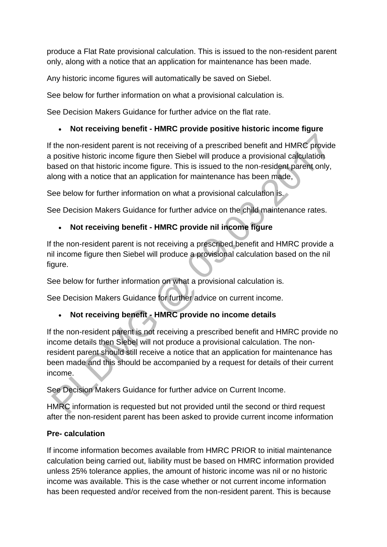produce a Flat Rate provisional calculation. This is issued to the non-resident parent only, along with a notice that an application for maintenance has been made.

Any historic income figures will automatically be saved on Siebel.

See below for further information on what a provisional calculation is.

See Decision Makers Guidance for further advice on the flat rate.

### **Not receiving benefit - HMRC provide positive historic income figure**

If the non-resident parent is not receiving of a prescribed benefit and HMRC provide a positive historic income figure then Siebel will produce a provisional calculation based on that historic income figure. This is issued to the non-resident parent only, along with a notice that an application for maintenance has been made,

See below for further information on what a provisional calculation is.

See Decision Makers Guidance for further advice on the child maintenance rates.

# **Not receiving benefit - HMRC provide nil income figure**

If the non-resident parent is not receiving a prescribed benefit and HMRC provide a nil income figure then Siebel will produce a provisional calculation based on the nil figure.

See below for further information on what a provisional calculation is.

See Decision Makers Guidance for further advice on current income.

# **Not receiving benefit - HMRC provide no income details**

If the non-resident parent is not receiving a prescribed benefit and HMRC provide no income details then Siebel will not produce a provisional calculation. The nonresident parent should still receive a notice that an application for maintenance has been made and this should be accompanied by a request for details of their current income.

See Decision Makers Guidance for further advice on Current Income.

HMRC information is requested but not provided until the second or third request after the non-resident parent has been asked to provide current income information

### **Pre- calculation**

If income information becomes available from HMRC PRIOR to initial maintenance calculation being carried out, liability must be based on HMRC information provided unless 25% tolerance applies, the amount of historic income was nil or no historic income was available. This is the case whether or not current income information has been requested and/or received from the non-resident parent. This is because